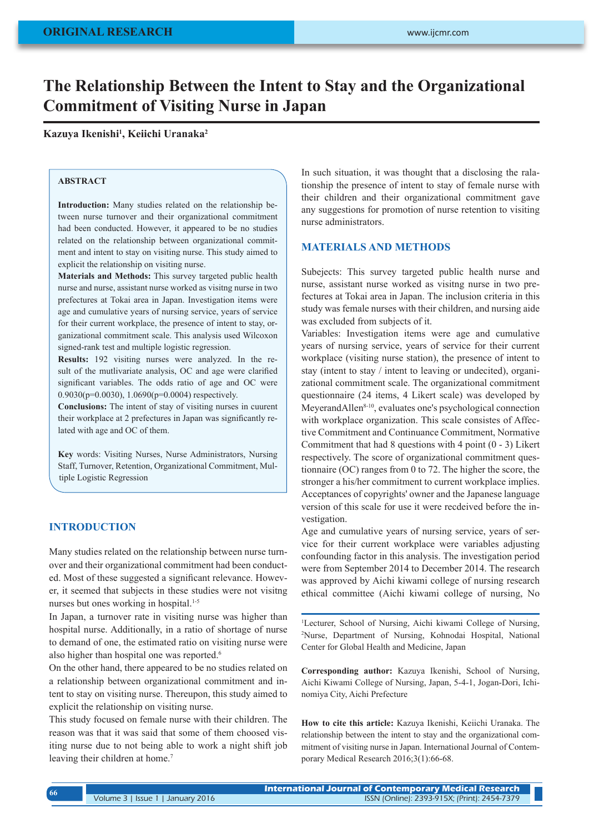# **The Relationship Between the Intent to Stay and the Organizational Commitment of Visiting Nurse in Japan**

**Kazuya Ikenishi1 , Keiichi Uranaka2**

## **ABSTRACT**

**Introduction:** Many studies related on the relationship between nurse turnover and their organizational commitment had been conducted. However, it appeared to be no studies related on the relationship between organizational commitment and intent to stay on visiting nurse. This study aimed to explicit the relationship on visiting nurse.

**Materials and Methods:** This survey targeted public health nurse and nurse, assistant nurse worked as visitng nurse in two prefectures at Tokai area in Japan. Investigation items were age and cumulative years of nursing service, years of service for their current workplace, the presence of intent to stay, organizational commitment scale. This analysis used Wilcoxon signed-rank test and multiple logistic regression.

**Results:** 192 visiting nurses were analyzed. In the result of the mutlivariate analysis, OC and age were clarified significant variables. The odds ratio of age and OC were 0.9030(p=0.0030), 1.0690(p=0.0004) respectively.

**Conclusions:** The intent of stay of visiting nurses in cuurent their workplace at 2 prefectures in Japan was significantly related with age and OC of them.

**Key** words: Visiting Nurses, Nurse Administrators, Nursing Staff, Turnover, Retention, Organizational Commitment, Multiple Logistic Regression

## **INTRODUCTION**

Many studies related on the relationship between nurse turnover and their organizational commitment had been conducted. Most of these suggested a significant relevance. However, it seemed that subjects in these studies were not visitng nurses but ones working in hospital.<sup>1-5</sup>

In Japan, a turnover rate in visiting nurse was higher than hospital nurse. Additionally, in a ratio of shortage of nurse to demand of one, the estimated ratio on visiting nurse were also higher than hospital one was reported.<sup>6</sup>

On the other hand, there appeared to be no studies related on a relationship between organizational commitment and intent to stay on visiting nurse. Thereupon, this study aimed to explicit the relationship on visiting nurse.

This study focused on female nurse with their children. The reason was that it was said that some of them choosed visiting nurse due to not being able to work a night shift job leaving their children at home.<sup>7</sup>

In such situation, it was thought that a disclosing the ralationship the presence of intent to stay of female nurse with their children and their organizational commitment gave any suggestions for promotion of nurse retention to visiting nurse administrators.

#### **MATERIALS AND METHODS**

Subejects: This survey targeted public health nurse and nurse, assistant nurse worked as visitng nurse in two prefectures at Tokai area in Japan. The inclusion criteria in this study was female nurses with their children, and nursing aide was excluded from subjects of it.

Variables: Investigation items were age and cumulative years of nursing service, years of service for their current workplace (visiting nurse station), the presence of intent to stay (intent to stay / intent to leaving or undecited), organizational commitment scale. The organizational commitment questionnaire (24 items, 4 Likert scale) was developed by MeyerandAllen<sup>8-10</sup>, evaluates one's psychological connection with workplace organization. This scale consistes of Affective Commitment and Continuance Commitment, Normative Commitment that had 8 questions with 4 point (0 - 3) Likert respectively. The score of organizational commitment questionnaire (OC) ranges from 0 to 72. The higher the score, the stronger a his/her commitment to current workplace implies. Acceptances of copyrights' owner and the Japanese language version of this scale for use it were recdeived before the investigation.

Age and cumulative years of nursing service, years of service for their current workplace were variables adjusting confounding factor in this analysis. The investigation period were from September 2014 to December 2014. The research was approved by Aichi kiwami college of nursing research ethical committee (Aichi kiwami college of nursing, No

1 Lecturer, School of Nursing, Aichi kiwami College of Nursing, 2 Nurse, Department of Nursing, Kohnodai Hospital, National Center for Global Health and Medicine, Japan

**Corresponding author:** Kazuya Ikenishi, School of Nursing, Aichi Kiwami College of Nursing, Japan, 5-4-1, Jogan-Dori, Ichinomiya City, Aichi Prefecture

**How to cite this article:** Kazuya Ikenishi, Keiichi Uranaka. The relationship between the intent to stay and the organizational commitment of visiting nurse in Japan. International Journal of Contemporary Medical Research 2016;3(1):66-68.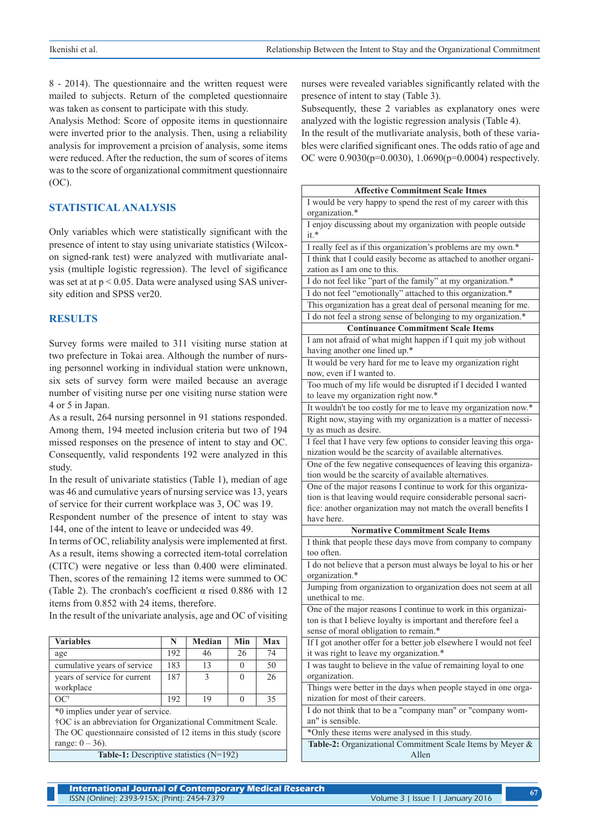8 - 2014). The questionnaire and the written request were mailed to subjects. Return of the completed questionnaire was taken as consent to participate with this study.

Analysis Method: Score of opposite items in questionnaire were inverted prior to the analysis. Then, using a reliability analysis for improvement a prcision of analysis, some items were reduced. After the reduction, the sum of scores of items was to the score of organizational commitment questionnaire (OC).

#### **STATISTICAL ANALYSIS**

Only variables which were statistically significant with the presence of intent to stay using univariate statistics (Wilcoxon signed-rank test) were analyzed with mutlivariate analysis (multiple logistic regression). The level of sigificance was set at at  $p < 0.05$ . Data were analysed using SAS university edition and SPSS ver20.

#### **RESULTS**

Survey forms were mailed to 311 visiting nurse station at two prefecture in Tokai area. Although the number of nursing personnel working in individual station were unknown, six sets of survey form were mailed because an average number of visiting nurse per one visiting nurse station were 4 or 5 in Japan.

As a result, 264 nursing personnel in 91 stations responded. Among them, 194 meeted inclusion criteria but two of 194 missed responses on the presence of intent to stay and OC. Consequently, valid respondents 192 were analyzed in this study.

In the result of univariate statistics (Table 1), median of age was 46 and cumulative years of nursing service was 13, years of service for their current workplace was 3, OC was 19.

Respondent number of the presence of intent to stay was 144, one of the intent to leave or undecided was 49.

In terms of OC, reliability analysis were implemented at first. As a result, items showing a corrected item-total correlation (CITC) were negative or less than 0.400 were eliminated. Then, scores of the remaining 12 items were summed to OC (Table 2). The cronbach's coefficient  $\alpha$  rised 0.886 with 12 items from 0.852 with 24 items, therefore.

In the result of the univariate analysis, age and OC of visiting

| <b>Variables</b>                          | N   | Median | Min | Max |
|-------------------------------------------|-----|--------|-----|-----|
| age                                       | 192 | 46     | 26  | 74  |
| cumulative years of service               | 183 | 13     |     | 50  |
| years of service for current<br>workplace | 187 |        |     | 26  |
|                                           | 192 | 19     |     | 35  |

\*0 implies under year of service.

†OC is an abbreviation for Organizational Commitment Scale. The OC questionnaire consisted of 12 items in this study (score range:  $0 - 36$ .

**Table-1:** Descriptive statistics (N=192)

nurses were revealed variables significantly related with the presence of intent to stay (Table 3).

Subsequently, these 2 variables as explanatory ones were analyzed with the logistic regression analysis (Table 4).

In the result of the mutlivariate analysis, both of these variables were clarified significant ones. The odds ratio of age and OC were 0.9030(p=0.0030), 1.0690(p=0.0004) respectively.

| <b>Affective Commitment Scale Itmes</b>                                             |  |  |  |  |  |
|-------------------------------------------------------------------------------------|--|--|--|--|--|
| I would be very happy to spend the rest of my career with this                      |  |  |  |  |  |
| organization.*                                                                      |  |  |  |  |  |
| I enjoy discussing about my organization with people outside                        |  |  |  |  |  |
| $it.*$                                                                              |  |  |  |  |  |
| I really feel as if this organization's problems are my own.*                       |  |  |  |  |  |
| I think that I could easily become as attached to another organi-                   |  |  |  |  |  |
| zation as I am one to this.                                                         |  |  |  |  |  |
| I do not feel like "part of the family" at my organization.*                        |  |  |  |  |  |
| I do not feel "emotionally" attached to this organization.*                         |  |  |  |  |  |
| This organization has a great deal of personal meaning for me.                      |  |  |  |  |  |
| I do not feel a strong sense of belonging to my organization.*                      |  |  |  |  |  |
| <b>Continuance Commitment Scale Items</b>                                           |  |  |  |  |  |
| I am not afraid of what might happen if I quit my job without                       |  |  |  |  |  |
| having another one lined up.*                                                       |  |  |  |  |  |
| It would be very hard for me to leave my organization right                         |  |  |  |  |  |
| now, even if I wanted to.                                                           |  |  |  |  |  |
| Too much of my life would be disrupted if I decided I wanted                        |  |  |  |  |  |
| to leave my organization right now.*                                                |  |  |  |  |  |
| It wouldn't be too costly for me to leave my organization now.*                     |  |  |  |  |  |
| Right now, staying with my organization is a matter of necessi-                     |  |  |  |  |  |
| ty as much as desire.                                                               |  |  |  |  |  |
| I feel that I have very few options to consider leaving this orga-                  |  |  |  |  |  |
| nization would be the scarcity of available alternatives.                           |  |  |  |  |  |
| One of the few negative consequences of leaving this organiza-                      |  |  |  |  |  |
| tion would be the scarcity of available alternatives.                               |  |  |  |  |  |
| One of the major reasons I continue to work for this organiza-                      |  |  |  |  |  |
| tion is that leaving would require considerable personal sacri-                     |  |  |  |  |  |
| fice: another organization may not match the overall benefits I                     |  |  |  |  |  |
| have here.                                                                          |  |  |  |  |  |
| <b>Normative Commitment Scale Items</b>                                             |  |  |  |  |  |
| I think that people these days move from company to company                         |  |  |  |  |  |
| too often.                                                                          |  |  |  |  |  |
| I do not believe that a person must always be loyal to his or her<br>organization.* |  |  |  |  |  |
| Jumping from organization to organization does not seem at all                      |  |  |  |  |  |
| unethical to me.                                                                    |  |  |  |  |  |
| One of the major reasons I continue to work in this organizai-                      |  |  |  |  |  |
| ton is that I believe loyalty is important and therefore feel a                     |  |  |  |  |  |
| sense of moral obligation to remain.*                                               |  |  |  |  |  |
| If I got another offer for a better job elsewhere I would not feel                  |  |  |  |  |  |
| it was right to leave my organization.*                                             |  |  |  |  |  |
| I was taught to believe in the value of remaining loyal to one                      |  |  |  |  |  |
| organization.                                                                       |  |  |  |  |  |
| Things were better in the days when people stayed in one orga-                      |  |  |  |  |  |
| nization for most of their careers.                                                 |  |  |  |  |  |
| I do not think that to be a "company man" or "company wom-                          |  |  |  |  |  |
| an" is sensible.                                                                    |  |  |  |  |  |
| *Only these items were analysed in this study.                                      |  |  |  |  |  |
| Table-2: Organizational Commitment Scale Items by Meyer &                           |  |  |  |  |  |
| Allen                                                                               |  |  |  |  |  |